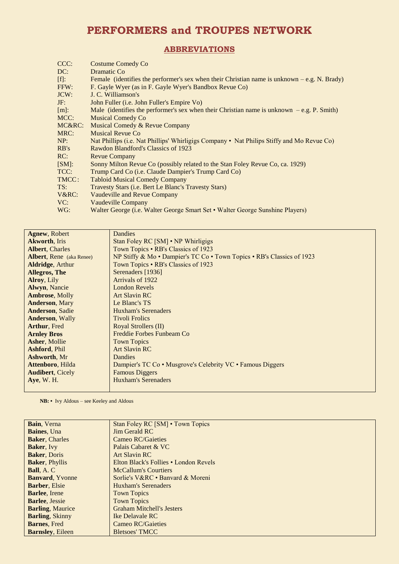## **PERFORMERS and TROUPES NETWORK**

## **ABBREVIATIONS**

| CCC:    | <b>Costume Comedy Co</b>                                                                      |
|---------|-----------------------------------------------------------------------------------------------|
| DC:     | Dramatic Co.                                                                                  |
| [f]:    | Female (identifies the performer's sex when their Christian name is unknown $-e.g. N.$ Brady) |
| FFW:    | F. Gayle Wyer (as in F. Gayle Wyer's Bandbox Revue Co)                                        |
| JCW:    | J. C. Williamson's                                                                            |
| JF:     | John Fuller (i.e. John Fuller's Empire Vo)                                                    |
| $[m]$ : | Male (identifies the performer's sex when their Christian name is unknown $-e.g. P. Smith$ )  |
| MCC:    | <b>Musical Comedy Co</b>                                                                      |
| MC&RC:  | Musical Comedy & Revue Company                                                                |
| MRC:    | Musical Revue Co                                                                              |
| NP:     | Nat Phillips (i.e. Nat Phillips' Whirligigs Company • Nat Philips Stiffy and Mo Revue Co)     |
| RB's    | Rawdon Blandford's Classics of 1923                                                           |
| RC:     | <b>Revue Company</b>                                                                          |
| [SM]:   | Sonny Milton Revue Co (possibly related to the Stan Foley Revue Co, ca. 1929)                 |
| TCC:    | Trump Card Co (i.e. Claude Dampier's Trump Card Co)                                           |
| TMCC:   | <b>Tabloid Musical Comedy Company</b>                                                         |
| TS:     | Travesty Stars ( <i>i.e.</i> Bert Le Blanc's Travesty Stars)                                  |
| V&RC:   | Vaudeville and Revue Company                                                                  |
| VC:     | Vaudeville Company                                                                            |
| WG:     | Walter George (i.e. Walter George Smart Set • Walter George Sunshine Players)                 |

| <b>Agnew</b> , Robert           | Dandies                                                                |
|---------------------------------|------------------------------------------------------------------------|
| <b>Akworth, Iris</b>            | Stan Foley RC [SM] • NP Whirligigs                                     |
| <b>Albert, Charles</b>          | Town Topics • RB's Classics of 1923                                    |
| <b>Albert, Rene</b> (aka Renee) | NP Stiffy & Mo • Dampier's TC Co • Town Topics • RB's Classics of 1923 |
| <b>Aldridge, Arthur</b>         | Town Topics • RB's Classics of 1923                                    |
| Allegros, The                   | Serenaders [1936]                                                      |
| <b>Alroy</b> , Lily             | Arrivals of 1922                                                       |
| <b>Alwyn, Nancie</b>            | <b>London Revels</b>                                                   |
| <b>Ambrose, Molly</b>           | <b>Art Slavin RC</b>                                                   |
| <b>Anderson</b> , Mary          | Le Blanc's TS                                                          |
| <b>Anderson, Sadie</b>          | Huxham's Serenaders                                                    |
| <b>Anderson, Wally</b>          | <b>Tivoli Frolics</b>                                                  |
| <b>Arthur, Fred</b>             | Royal Strollers (II)                                                   |
| <b>Arnley Bros</b>              | Freddie Forbes Funbeam Co                                              |
| <b>Asher, Mollie</b>            | <b>Town Topics</b>                                                     |
| <b>Ashford, Phil</b>            | <b>Art Slavin RC</b>                                                   |
| <b>Ashworth, Mr</b>             | <b>Dandies</b>                                                         |
| <b>Attenboro</b> , Hilda        | Dampier's TC Co • Musgrove's Celebrity VC • Famous Diggers             |
| <b>Audibert, Cicely</b>         | <b>Famous Diggers</b>                                                  |
| Aye, W. H.                      | <b>Huxham's Serenaders</b>                                             |
|                                 |                                                                        |

 **NB: •** Ivy Aldous – see Keeley and Aldous

| Bain, Verna             | Stan Foley RC [SM] • Town Topics      |
|-------------------------|---------------------------------------|
| <b>Baines</b> , Una     | <b>Jim Gerald RC</b>                  |
| <b>Baker, Charles</b>   | Cameo RC/Gaieties                     |
| <b>Baker</b> , Ivy      | Palais Cabaret & VC                   |
| <b>Baker, Doris</b>     | Art Slavin RC                         |
| <b>Baker</b> , Phyllis  | Elton Black's Follies • London Revels |
| <b>Ball</b> , A. C      | <b>McCallum's Courtiers</b>           |
| <b>Banvard, Yvonne</b>  | Sorlie's V&RC • Banyard & Moreni      |
| <b>Barber</b> , Elsie   | Huxham's Serenaders                   |
| <b>Barlee</b> , Irene   | <b>Town Topics</b>                    |
| <b>Barlee, Jessie</b>   | <b>Town Topics</b>                    |
| <b>Barling, Maurice</b> | <b>Graham Mitchell's Jesters</b>      |
| <b>Barling, Skinny</b>  | <b>Ike Delavale RC</b>                |
| <b>Barnes, Fred</b>     | Cameo RC/Gaieties                     |
| <b>Barnsley, Eileen</b> | <b>Bletsoes' TMCC</b>                 |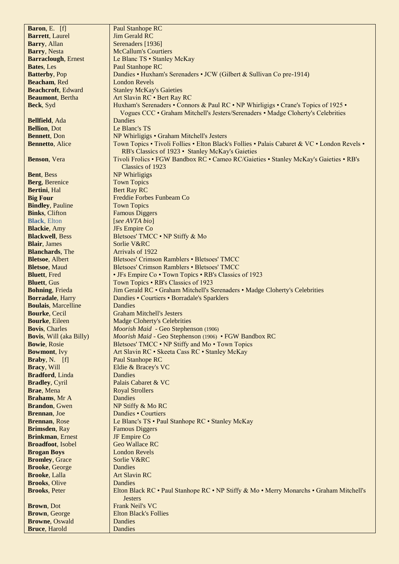| Baron, E. [f]                                    | <b>Paul Stanhope RC</b>                                                                      |
|--------------------------------------------------|----------------------------------------------------------------------------------------------|
| <b>Barrett</b> , Laurel                          | <b>Jim Gerald RC</b>                                                                         |
| Barry, Allan                                     | Serenaders [1936]                                                                            |
| <b>Barry</b> , Nesta                             | <b>McCallum's Courtiers</b>                                                                  |
| <b>Barraclough, Ernest</b>                       | Le Blanc TS • Stanley McKay                                                                  |
| Bates, Les                                       | <b>Paul Stanhope RC</b>                                                                      |
| <b>Batterby</b> , Pop                            | Dandies • Huxham's Serenaders • JCW (Gilbert & Sullivan Co pre-1914)                         |
| Beacham, Red                                     | <b>London Revels</b>                                                                         |
| <b>Beachcroft</b> , Edward                       | <b>Stanley McKay's Gaieties</b>                                                              |
| <b>Beaumont</b> , Bertha                         | Art Slavin RC . Bert Ray RC                                                                  |
| Beck, Syd                                        | Huxham's Serenaders • Connors & Paul RC • NP Whirligigs • Crane's Topics of 1925 •           |
|                                                  | Vogues CCC · Graham Mitchell's Jesters/Serenaders · Madge Cloherty's Celebrities             |
| Bellfield, Ada                                   | Dandies                                                                                      |
| <b>Bellion, Dot</b>                              | Le Blanc's TS                                                                                |
| <b>Bennett</b> , Don                             | NP Whirligigs • Graham Mitchell's Jesters                                                    |
| <b>Bennetto, Alice</b>                           | Town Topics • Tivoli Follies • Elton Black's Follies • Palais Cabaret & VC • London Revels • |
|                                                  | RB's Classics of 1923 • Stanley McKay's Gaieties                                             |
| Benson, Vera                                     | Tivoli Frolics • FGW Bandbox RC • Cameo RC/Gaieties • Stanley McKay's Gaieties • RB's        |
|                                                  | Classics of 1923                                                                             |
| Bent, Bess                                       | NP Whirligigs                                                                                |
| Berg, Berenice                                   | <b>Town Topics</b>                                                                           |
| Bertini, Hal                                     | <b>Bert Ray RC</b>                                                                           |
| <b>Big Four</b>                                  | Freddie Forbes Funbeam Co                                                                    |
| <b>Bindley, Pauline</b><br><b>Binks, Clifton</b> | <b>Town Topics</b><br><b>Famous Diggers</b>                                                  |
| <b>Black</b> , Elton                             | [see AVTA bio]                                                                               |
| <b>Blackie</b> , Amy                             | JFs Empire Co                                                                                |
| <b>Blackwell</b> , Bess                          | Bletsoes' TMCC . NP Stiffy & Mo                                                              |
| <b>Blair</b> , James                             | Sorlie V&RC                                                                                  |
| <b>Blanchards</b> , The                          | Arrivals of 1922                                                                             |
| <b>Bletsoe, Albert</b>                           | Bletsoes' Crimson Ramblers . Bletsoes' TMCC                                                  |
| <b>Bletsoe, Maud</b>                             | Bletsoes' Crimson Ramblers . Bletsoes' TMCC                                                  |
| <b>Bluett</b> , Fred                             | • JFs Empire Co • Town Topics • RB's Classics of 1923                                        |
| <b>Bluett</b> , Gus                              | Town Topics • RB's Classics of 1923                                                          |
| <b>Bohning, Frieda</b>                           | Jim Gerald RC . Graham Mitchell's Serenaders . Madge Cloherty's Celebrities                  |
| <b>Borradale</b> , Harry                         | Dandies • Courtiers • Borradale's Sparklers                                                  |
| <b>Boulais, Marcelline</b>                       | <b>Dandies</b>                                                                               |
| <b>Bourke</b> , Cecil                            | <b>Graham Mitchell's Jesters</b>                                                             |
| <b>Bourke</b> , Eileen                           | <b>Madge Cloherty's Celebrities</b>                                                          |
| <b>Bovis, Charles</b>                            | Moorish Maid - Geo Stephenson (1906)                                                         |
| <b>Bovis, Will (aka Billy)</b>                   | Moorish Maid - Geo Stephenson (1906) • FGW Bandbox RC                                        |
| <b>Bowie, Rosie</b>                              | Bletsoes' TMCC . NP Stiffy and Mo . Town Topics                                              |
| <b>Bowmont</b> , Ivy                             | Art Slavin RC · Skeeta Cass RC · Stanley McKay                                               |
| <b>Braby, N.</b> [f]                             | <b>Paul Stanhope RC</b>                                                                      |
| Bracy, Will                                      | Eldie & Bracey's VC                                                                          |
| <b>Bradford</b> , Linda                          | <b>Dandies</b>                                                                               |
| <b>Bradley</b> , Cyril                           | Palais Cabaret & VC                                                                          |
| Brae, Mena<br><b>Brahams</b> , Mr A              | <b>Royal Strollers</b><br><b>Dandies</b>                                                     |
| <b>Brandon</b> , Gwen                            | NP Stiffy & Mo RC                                                                            |
| Brennan, Joe                                     | Dandies • Courtiers                                                                          |
| <b>Brennan</b> , Rose                            | Le Blanc's TS • Paul Stanhope RC • Stanley McKay                                             |
| Brimsden, Ray                                    | <b>Famous Diggers</b>                                                                        |
| <b>Brinkman, Ernest</b>                          | JF Empire Co                                                                                 |
| <b>Broadfoot</b> , Isobel                        | <b>Geo Wallace RC</b>                                                                        |
| <b>Brogan Boys</b>                               | <b>London Revels</b>                                                                         |
| <b>Bromley</b> , Grace                           | Sorlie V&RC                                                                                  |
| <b>Brooke</b> , George                           | Dandies                                                                                      |
| Brooke, Lalla                                    | <b>Art Slavin RC</b>                                                                         |
| <b>Brooks</b> , Olive                            | Dandies                                                                                      |
| <b>Brooks</b> , Peter                            | Elton Black RC • Paul Stanhope RC • NP Stiffy & Mo • Merry Monarchs • Graham Mitchell's      |
|                                                  | <b>Jesters</b>                                                                               |
| <b>Brown</b> , Dot                               | <b>Frank Neil's VC</b>                                                                       |
| <b>Brown</b> , George                            | <b>Elton Black's Follies</b>                                                                 |
| <b>Browne</b> , Oswald                           | Dandies                                                                                      |
| <b>Bruce</b> , Harold                            | Dandies                                                                                      |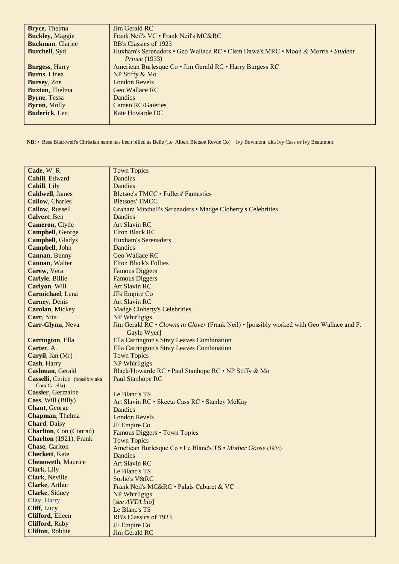| <b>Bryce</b> , Thelma   | Jim Gerald RC                                                                    |
|-------------------------|----------------------------------------------------------------------------------|
| <b>Buckley</b> , Maggie | Frank Neil's VC • Frank Neil's MC&RC                                             |
| <b>Buckman, Clarice</b> | RB's Classics of 1923                                                            |
| <b>Burchell</b> , Syd   | Huxham's Serenaders • Geo Wallace RC • Clem Dawe's MRC • Moon & Morris • Student |
|                         | <i>Prince</i> (1933)                                                             |
| <b>Burgess, Harry</b>   | American Burlesque Co • Jim Gerald RC • Harry Burgess RC                         |
| <b>Burns</b> , Linea    | NP Stiffy & Mo                                                                   |
| <b>Bursey</b> , Zoe     | <b>London Revels</b>                                                             |
| <b>Buxton, Thelma</b>   | Geo Wallace RC                                                                   |
| <b>Byrne</b> , Tessa    | <b>Dandies</b>                                                                   |
| <b>Byron</b> , Molly    | Cameo RC/Gaieties                                                                |
| <b>Buderick</b> , Len   | Kate Howarde DC                                                                  |
|                         |                                                                                  |

 **NB: •** Bess Blackwell's Christian name has been billed as Belle (i.e. Albert Bletsoe Revue Co) Ivy Bowmont aka Ivy Cass or Ivy Beaumont

| Cade, W.R.                             | <b>Town Topics</b>                                                                       |
|----------------------------------------|------------------------------------------------------------------------------------------|
| Cahill, Edward                         | <b>Dandies</b>                                                                           |
| Cahill, Lily                           | <b>Dandies</b>                                                                           |
| <b>Caldwell</b> , James                | Bletsoe's TMCC . Fullers' Fantastics                                                     |
| <b>Callow</b> , Charles                | <b>Bletsoes' TMCC</b>                                                                    |
| <b>Callow</b> , Russell                | Graham Mitchell's Serenaders • Madge Cloherty's Celebrities                              |
| <b>Calvert</b> , Ben                   | Dandies                                                                                  |
| Cameron, Clyde                         | <b>Art Slavin RC</b>                                                                     |
| <b>Campbell</b> , George               | <b>Elton Black RC</b>                                                                    |
| <b>Campbell</b> , Gladys               | <b>Huxham's Serenaders</b>                                                               |
| Campbell, John                         | Dandies                                                                                  |
| Cannan, Bunny                          | <b>Geo Wallace RC</b>                                                                    |
| Cannan, Walter                         | <b>Elton Black's Follies</b>                                                             |
| Carew, Vera                            | <b>Famous Diggers</b>                                                                    |
| Carlyle, Billie                        | <b>Famous Diggers</b>                                                                    |
| Carlyon, Will                          | <b>Art Slavin RC</b>                                                                     |
| <b>Carmichael</b> , Lena               | JFs Empire Co                                                                            |
| <b>Carney</b> , Denis                  | <b>Art Slavin RC</b>                                                                     |
| <b>Carolan, Mickey</b>                 | <b>Madge Cloherty's Celebrities</b>                                                      |
| Carr, Nita                             | NP Whirligigs                                                                            |
| Carr-Glynn, Neva                       | Jim Gerald RC • Clowns in Clover (Frank Neil) • [possibly worked with Geo Wallace and F. |
|                                        | Gayle Wyer]                                                                              |
| <b>Carrington</b> , Ella               | Ella Carrington's Stray Leaves Combination                                               |
| Carter, A.                             | Ella Carrington's Stray Leaves Combination                                               |
| Caryil, Jan (Mr)                       | <b>Town Topics</b>                                                                       |
| Cash, Harry                            | NP Whirligigs                                                                            |
| Cashman, Gerald                        | Black/Howarde RC . Paul Stanhope RC . NP Stiffy & Mo                                     |
| <b>Casselli</b> , Cerice (possibly aka | <b>Paul Stanhope RC</b>                                                                  |
| Cora Casella)                          |                                                                                          |
| Cassier, Germaine                      | Le Blanc's TS                                                                            |
| Cass, Will (Billy)                     | Art Slavin RC · Skeeta Cass RC · Stanley McKay                                           |
| Chant, George                          | Dandies                                                                                  |
| Chapman, Thelma                        | <b>London Revels</b>                                                                     |
| <b>Chard</b> , Daisy                   | JF Empire Co                                                                             |
| <b>Charlton, Con (Conrad)</b>          | Famous Diggers • Town Topics                                                             |
| Charlton (1921), Frank                 | <b>Town Topics</b>                                                                       |
| <b>Chase, Carlton</b>                  | American Burlesque Co • Le Blanc's TS • Mother Goose (1924)                              |
| <b>Checkett</b> , Kate                 | <b>Dandies</b>                                                                           |
| <b>Chenoweth, Maurice</b>              | <b>Art Slavin RC</b>                                                                     |
| Clark, Lily                            | Le Blanc's TS                                                                            |
| Clark, Neville                         | Sorlie's V&RC                                                                            |
| Clarke, Arthur                         | Frank Neil's MC&RC . Palais Cabaret & VC                                                 |
| Clarke, Sidney                         | NP Whirligigs                                                                            |
| Clay, Harry                            | [see AVTA bio]                                                                           |
| Cliff, Lucy                            | Le Blanc's TS                                                                            |
| Clifford, Eileen                       | RB's Classics of 1923                                                                    |
| <b>Clifford</b> , Ruby                 | JF Empire Co                                                                             |
| <b>Clifton, Robbie</b>                 | <b>Jim Gerald RC</b>                                                                     |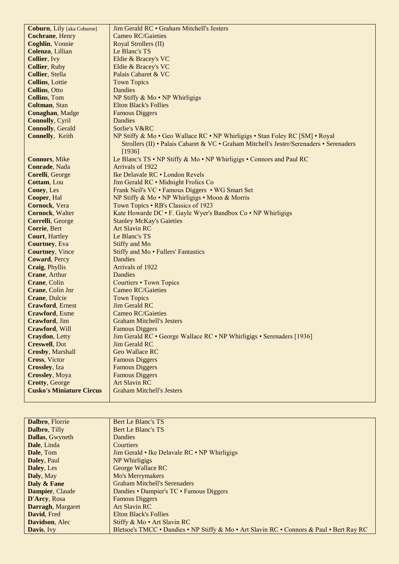| <b>Coburn</b> , Lily [aka Coburne] | Jim Gerald RC • Graham Mitchell's Jesters                                               |
|------------------------------------|-----------------------------------------------------------------------------------------|
| <b>Cochrane</b> , Henry            | <b>Cameo RC/Gaieties</b>                                                                |
| <b>Coghlin</b> , Vonnie            | Royal Strollers (II)                                                                    |
| Colenzo, Lillian                   | Le Blanc's TS                                                                           |
| <b>Collier</b> , Ivy               | Eldie & Bracey's VC                                                                     |
| <b>Collier, Ruby</b>               | Eldie & Bracey's VC                                                                     |
| <b>Collier</b> , Stella            | Palais Cabaret & VC                                                                     |
| <b>Collins</b> , Lottie            | <b>Town Topics</b>                                                                      |
| <b>Collins, Otto</b>               | Dandies                                                                                 |
| <b>Collins</b> , Tom               | NP Stiffy $& Mo \cdot NP$ Whirligigs                                                    |
| Coltman, Stan                      | <b>Elton Black's Follies</b>                                                            |
| <b>Conaghan</b> , Madge            | <b>Famous Diggers</b>                                                                   |
| <b>Connolly, Cyril</b>             | Dandies                                                                                 |
| <b>Connolly, Gerald</b>            | Sorlie's V&RC                                                                           |
| <b>Connelly, Keith</b>             | NP Stiffy & Mo • Geo Wallace RC • NP Whirligigs • Stan Foley RC [SM] • Royal            |
|                                    | Strollers (II) • Palais Cabaret & VC • Graham Mitchell's Jester/Serenaders • Serenaders |
|                                    | [1936]                                                                                  |
| <b>Connors</b> , Mike              | Le Blanc's TS • NP Stiffy & Mo • NP Whirligigs • Connors and Paul RC                    |
| Conrade, Nada                      | Arrivals of 1922                                                                        |
| Corelli, George                    | Ike Delavale RC . London Revels                                                         |
| Cottam, Lou                        | Jim Gerald RC • Midnight Frolics Co                                                     |
| Coney, Les                         | Frank Neil's VC · Famous Diggers · WG Smart Set                                         |
| Cooper, Hal                        | NP Stiffy & Mo • NP Whirligigs • Moon & Morris                                          |
| Cornock, Vera                      | Town Topics • RB's Classics of 1923                                                     |
| <b>Cornock</b> , Walter            | Kate Howarde DC • F. Gayle Wyer's Bandbox Co • NP Whirligigs                            |
| Correlli, George                   | <b>Stanley McKay's Gaieties</b>                                                         |
| Corrie, Bert                       | <b>Art Slavin RC</b>                                                                    |
| <b>Court, Hartley</b>              | Le Blanc's TS                                                                           |
| <b>Courtney</b> , Eva              | Stiffy and Mo                                                                           |
| <b>Courtney</b> , Vince            | Stiffy and Mo • Fullers' Fantastics                                                     |
| Coward, Percy                      | <b>Dandies</b>                                                                          |
| Craig, Phyllis                     | Arrivals of 1922                                                                        |
| Crane, Arthur                      | Dandies                                                                                 |
| Crane, Colin                       | Courtiers • Town Topics                                                                 |
| Crane, Colin Jnr                   | <b>Cameo RC/Gaieties</b>                                                                |
| Crane, Dulcie                      | <b>Town Topics</b>                                                                      |
| <b>Crawford, Ernest</b>            | Jim Gerald RC                                                                           |
| <b>Crawford</b> , Esme             | <b>Cameo RC/Gaieties</b>                                                                |
| Crawford, Jim                      | <b>Graham Mitchell's Jesters</b>                                                        |
| Crawford, Will                     | <b>Famous Diggers</b>                                                                   |
| Craydon, Letty                     | Jim Gerald RC • George Wallace RC • NP Whirligigs • Serenaders [1936]                   |
| <b>Creswell</b> , Dot              | Jim Gerald RC                                                                           |
| <b>Crosby, Marshall</b>            | <b>Geo Wallace RC</b>                                                                   |
| <b>Cross</b> , Victor              | <b>Famous Diggers</b>                                                                   |
| <b>Crossley</b> , Iza              | <b>Famous Diggers</b>                                                                   |
| <b>Crossley</b> , Moya             | <b>Famous Diggers</b>                                                                   |
| <b>Crotty, George</b>              | <b>Art Slavin RC</b>                                                                    |
| <b>Cusko's Miniature Circus</b>    | <b>Graham Mitchell's Jesters</b>                                                        |
|                                    |                                                                                         |

| Dalbro, Florrie        | Bert Le Blanc's TS                                                                       |
|------------------------|------------------------------------------------------------------------------------------|
| <b>Dalbro, Tilly</b>   | Bert Le Blanc's TS                                                                       |
| <b>Dallas, Gwyneth</b> | <b>Dandies</b>                                                                           |
| Dale, Linda            | Courtiers                                                                                |
| Dale, Tom              | Jim Gerald • Ike Delavale RC • NP Whirligigs                                             |
| <b>Daley, Paul</b>     | NP Whirligigs                                                                            |
| Daley, Les             | George Wallace RC                                                                        |
| Daly, May              | Mo's Merrymakers                                                                         |
| Daly & Fane            | <b>Graham Mitchell's Serenaders</b>                                                      |
| Dampier, Claude        | Dandies • Dampier's TC • Famous Diggers                                                  |
| D'Arcy, Rosa           | <b>Famous Diggers</b>                                                                    |
| Darragh, Margaret      | <b>Art Slavin RC</b>                                                                     |
| David, Fred            | <b>Elton Black's Follies</b>                                                             |
| Davidson, Alec         | Stiffy & Mo • Art Slavin RC                                                              |
| Davis, Ivy             | Bletsoe's TMCC • Dandies • NP Stiffy & Mo • Art Slavin RC • Connors & Paul • Bert Ray RC |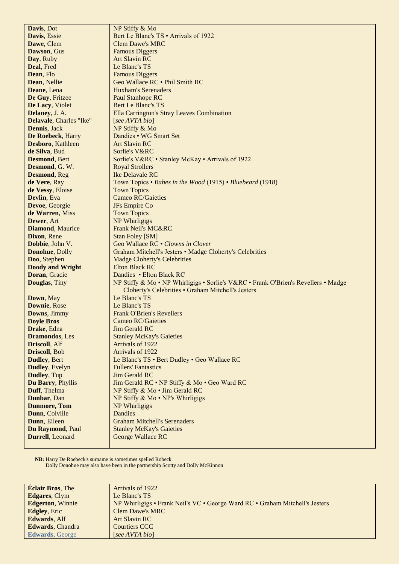| Davis, Dot              | NP Stiffy & Mo                                                                                                                           |
|-------------------------|------------------------------------------------------------------------------------------------------------------------------------------|
| Davis, Essie            | Bert Le Blanc's TS • Arrivals of 1922                                                                                                    |
| Dawe, Clem              | <b>Clem Dawe's MRC</b>                                                                                                                   |
| Dawson, Gus             | <b>Famous Diggers</b>                                                                                                                    |
| Day, Ruby               | <b>Art Slavin RC</b>                                                                                                                     |
| Deal, Fred              | Le Blanc's TS                                                                                                                            |
| Dean, Flo               | <b>Famous Diggers</b>                                                                                                                    |
| Dean, Nellie            | Geo Wallace RC . Phil Smith RC                                                                                                           |
| Deane, Lena             | <b>Huxham's Serenaders</b>                                                                                                               |
| De Guy, Fritzee         | Paul Stanhope RC                                                                                                                         |
| De Lacy, Violet         | <b>Bert Le Blanc's TS</b>                                                                                                                |
| Delaney, J. A.          | Ella Carrington's Stray Leaves Combination                                                                                               |
| Delavale, Charles "Ike" | [see AVTA bio]                                                                                                                           |
| <b>Dennis</b> , Jack    | NP Stiffy & Mo                                                                                                                           |
| De Roebeck, Harry       | Dandies • WG Smart Set                                                                                                                   |
| Desboro, Kathleen       | <b>Art Slavin RC</b>                                                                                                                     |
| de Silva, Bud           | Sorlie's V&RC                                                                                                                            |
| <b>Desmond</b> , Bert   | Sorlie's V&RC • Stanley McKay • Arrivals of 1922                                                                                         |
| Desmond, G. W.          |                                                                                                                                          |
|                         | <b>Royal Strollers</b><br>Ike Delavale RC                                                                                                |
| <b>Desmond</b> , Reg    |                                                                                                                                          |
| de Vere, Ray            | Town Topics • Babes in the Wood (1915) • Bluebeard (1918)                                                                                |
| de Vessy, Eloise        | <b>Town Topics</b>                                                                                                                       |
| Devlin, Eva             | <b>Cameo RC/Gaieties</b>                                                                                                                 |
| Devoe, Georgie          | JFs Empire Co                                                                                                                            |
| de Warren, Miss         | <b>Town Topics</b>                                                                                                                       |
| Dewer, Art              | NP Whirligigs                                                                                                                            |
| <b>Diamond, Maurice</b> | <b>Frank Neil's MC&amp;RC</b>                                                                                                            |
| Dixon, Rene             | <b>Stan Foley [SM]</b>                                                                                                                   |
| Dobbie, John V.         | Geo Wallace RC • Clowns in Clover                                                                                                        |
| Donohue, Dolly          | Graham Mitchell's Jesters • Madge Cloherty's Celebrities                                                                                 |
| Doo, Stephen            | <b>Madge Cloherty's Celebrities</b>                                                                                                      |
| <b>Doody and Wright</b> | <b>Elton Black RC</b>                                                                                                                    |
| Doran, Gracie           | Dandies • Elton Black RC                                                                                                                 |
| <b>Douglas</b> , Tiny   | NP Stiffy & Mo • NP Whirligigs • Sorlie's V&RC • Frank O'Brien's Revellers • Madge<br>Cloherty's Celebrities • Graham Mitchell's Jesters |
| Down, May               | Le Blanc's TS                                                                                                                            |
| Downie, Rose            | Le Blanc's TS                                                                                                                            |
| Downs, Jimmy            | <b>Frank O'Brien's Revellers</b>                                                                                                         |
| <b>Doyle Bros</b>       | Cameo RC/Gaieties                                                                                                                        |
| Drake, Edna             | <b>Jim Gerald RC</b>                                                                                                                     |
| <b>Dramondos</b> , Les  | <b>Stanley McKay's Gaieties</b>                                                                                                          |
| Driscoll, Alf           | Arrivals of 1922                                                                                                                         |
| Driscoll, Bob           | Arrivals of 1922                                                                                                                         |
| <b>Dudley</b> , Bert    | Le Blanc's TS • Bert Dudley • Geo Wallace RC                                                                                             |
| Dudley, Evelyn          | <b>Fullers' Fantastics</b>                                                                                                               |
| Dudley, Tup             | <b>Jim Gerald RC</b>                                                                                                                     |
| Du Barry, Phyllis       | Jim Gerald RC . NP Stiffy & Mo . Geo Ward RC                                                                                             |
| Duff, Thelma            | NP Stiffy & Mo . Jim Gerald RC                                                                                                           |
| Dunbar, Dan             | NP Stiffy $& Mo \cdot NP's Whirligigs$                                                                                                   |
| <b>Dunmore, Tom</b>     | NP Whirligigs                                                                                                                            |
| Dunn, Colville          | Dandies                                                                                                                                  |
| Dunn, Eileen            | <b>Graham Mitchell's Serenaders</b>                                                                                                      |
| Du Raymond, Paul        | <b>Stanley McKay's Gaieties</b>                                                                                                          |
| Durrell, Leonard        | George Wallace RC                                                                                                                        |
|                         |                                                                                                                                          |

 **NB:** Harry De Roebeck's surname is sometimes spelled Robeck Dolly Donohue may also have been in the partnership Scotty and Dolly McKinnon

| <b>Éclair Bros</b> , The | Arrivals of 1922                                                             |
|--------------------------|------------------------------------------------------------------------------|
| <b>Edgares, Clym</b>     | Le Blanc's TS                                                                |
| <b>Edgerton, Winnie</b>  | NP Whirligigs • Frank Neil's VC • George Ward RC • Graham Mitchell's Jesters |
| <b>Edgley</b> , Eric     | <b>Clem Dawe's MRC</b>                                                       |
| <b>Edwards, Alf</b>      | Art Slavin RC                                                                |
| <b>Edwards, Chandra</b>  | <b>Courtiers CCC</b>                                                         |
| <b>Edwards, George</b>   | [see AVTA bio]                                                               |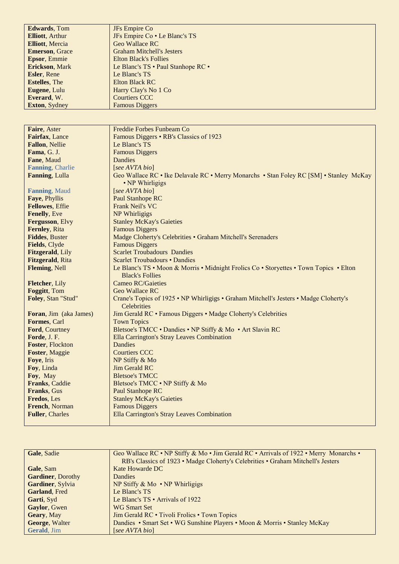| <b>Edwards</b> , Tom    | JFs Empire Co                                                                                                    |
|-------------------------|------------------------------------------------------------------------------------------------------------------|
| <b>Elliott</b> , Arthur | JFs Empire Co · Le Blanc's TS                                                                                    |
| <b>Elliott</b> , Mercia | <b>Geo Wallace RC</b>                                                                                            |
| <b>Emerson, Grace</b>   | <b>Graham Mitchell's Jesters</b>                                                                                 |
| Epsor, Emmie            | <b>Elton Black's Follies</b>                                                                                     |
| Erickson, Mark          | Le Blanc's TS · Paul Stanhope RC ·                                                                               |
| Esler, Rene             | Le Blanc's TS                                                                                                    |
| <b>Estelles</b> , The   | <b>Elton Black RC</b>                                                                                            |
| Eugene, Lulu            | Harry Clay's No 1 Co                                                                                             |
| Everard, W.             | <b>Courtiers CCC</b>                                                                                             |
| Exton, Sydney           | <b>Famous Diggers</b>                                                                                            |
|                         |                                                                                                                  |
|                         |                                                                                                                  |
| Faire, Aster            | Freddie Forbes Funbeam Co                                                                                        |
| Fairfax, Lance          | Famous Diggers • RB's Classics of 1923                                                                           |
| Fallon, Nellie          | Le Blanc's TS                                                                                                    |
| Fama, G. J.             | <b>Famous Diggers</b>                                                                                            |
| Fane, Maud              | Dandies                                                                                                          |
| Fanning, Charlie        | [see AVTA bio]                                                                                                   |
| Fanning, Lulla          | Geo Wallace RC • Ike Delavale RC • Merry Monarchs • Stan Foley RC [SM] • Stanley McKay                           |
|                         | • NP Whirligigs                                                                                                  |
| Fanning, Maud           | [see AVTA bio]                                                                                                   |
| Faye, Phyllis           | Paul Stanhope RC                                                                                                 |
| <b>Fellowes</b> , Effie | Frank Neil's VC                                                                                                  |
| Fenelly, Eve            | NP Whirligigs                                                                                                    |
| Fergusson, Elvy         | <b>Stanley McKay's Gaieties</b>                                                                                  |
| Fernley, Rita           | <b>Famous Diggers</b>                                                                                            |
| <b>Fiddes, Buster</b>   | Madge Cloherty's Celebrities . Graham Mitchell's Serenaders                                                      |
| Fields, Clyde           | <b>Famous Diggers</b>                                                                                            |
| Fitzgerald, Lily        | <b>Scarlet Troubadours Dandies</b>                                                                               |
| Fitzgerald, Rita        | Scarlet Troubadours • Dandies                                                                                    |
| Fleming, Nell           | Le Blanc's TS • Moon & Morris • Midnight Frolics Co • Storyettes • Town Topics • Elton<br><b>Black's Follies</b> |
| Fletcher, Lily          | <b>Cameo RC/Gaieties</b>                                                                                         |
| Foggitt, Tom            | <b>Geo Wallace RC</b>                                                                                            |
| Foley, Stan "Stud"      | Crane's Topics of 1925 • NP Whirligigs • Graham Mitchell's Jesters • Madge Cloherty's<br>Celebrities             |
| Foran, Jim (aka James)  | Jim Gerald RC • Famous Diggers • Madge Cloherty's Celebrities                                                    |
| Formes, Carl            | <b>Town Topics</b>                                                                                               |
| Ford, Courtney          | Bletsoe's TMCC • Dandies • NP Stiffy & Mo • Art Slavin RC                                                        |
| Forde, J. F.            | Ella Carrington's Stray Leaves Combination                                                                       |
| Foster, Flockton        | Dandies                                                                                                          |
| Foster, Maggie          | <b>Courtiers CCC</b>                                                                                             |
| Foye, Iris              | NP Stiffy & Mo                                                                                                   |
| Foy, Linda              | <b>Jim Gerald RC</b>                                                                                             |
| Foy, May                | <b>Bletsoe's TMCC</b>                                                                                            |
| Franks, Caddie          | Bletsoe's TMCC . NP Stiffy & Mo                                                                                  |
| Franks, Gus             | <b>Paul Stanhope RC</b>                                                                                          |
| Fredos, Les             | <b>Stanley McKay's Gaieties</b>                                                                                  |
| French, Norman          | <b>Famous Diggers</b>                                                                                            |
| <b>Fuller, Charles</b>  | Ella Carrington's Stray Leaves Combination                                                                       |

| Gale, Sadie               | Geo Wallace RC • NP Stiffy & Mo • Jim Gerald RC • Arrivals of 1922 • Merry Monarchs • |
|---------------------------|---------------------------------------------------------------------------------------|
|                           | RB's Classics of 1923 • Madge Cloherty's Celebrities • Graham Mitchell's Jesters      |
| Gale, Sam                 | Kate Howarde DC                                                                       |
| <b>Gardiner</b> , Dorothy | <b>Dandies</b>                                                                        |
| Gardiner, Sylvia          | NP Stiffy $& Mo \cdot NP$ Whirligigs                                                  |
| Garland, Fred             | Le Blanc's TS                                                                         |
| Garti, Syd                | Le Blanc's $TS \cdot$ Arrivals of 1922                                                |
| Gaylor, Gwen              | <b>WG Smart Set</b>                                                                   |
| Geary, May                | Jim Gerald RC • Tivoli Frolics • Town Topics                                          |
| George, Walter            | Dandies • Smart Set • WG Sunshine Players • Moon & Morris • Stanley McKay             |
| Gerald, Jim               | [see AVTA bio]                                                                        |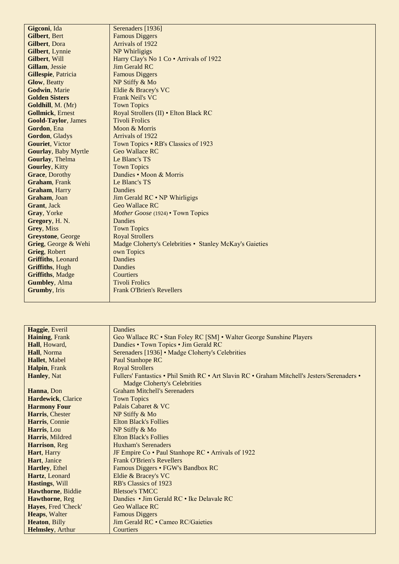| Gigconi, Ida                | Serenaders [1936]                                       |
|-----------------------------|---------------------------------------------------------|
| Gilbert, Bert               | <b>Famous Diggers</b>                                   |
| Gilbert, Dora               | Arrivals of 1922                                        |
| Gilbert, Lynnie             | NP Whirligigs                                           |
| Gilbert, Will               | Harry Clay's No 1 Co • Arrivals of 1922                 |
| Gillam, Jessie              | Jim Gerald RC                                           |
| Gillespie, Patricia         | <b>Famous Diggers</b>                                   |
| <b>Glow</b> , Beatty        | NP Stiffy & Mo                                          |
| Godwin, Marie               | Eldie & Bracey's VC                                     |
| <b>Golden Sisters</b>       | <b>Frank Neil's VC</b>                                  |
| Goldhill, M. (Mr)           | <b>Town Topics</b>                                      |
| <b>Gollmick, Ernest</b>     | Royal Strollers (II) . Elton Black RC                   |
| <b>Goold-Taylor, James</b>  | <b>Tivoli Frolics</b>                                   |
| Gordon, Ena                 | Moon & Morris                                           |
| Gordon, Gladys              | Arrivals of 1922                                        |
| Gouriet, Victor             | Town Topics • RB's Classics of 1923                     |
| <b>Gourlay, Baby Myrtle</b> | <b>Geo Wallace RC</b>                                   |
| Gourlay, Thelma             | Le Blanc's TS                                           |
| <b>Gourley, Kitty</b>       | <b>Town Topics</b>                                      |
| Grace, Dorothy              | Dandies • Moon & Morris                                 |
| <b>Graham</b> , Frank       | Le Blanc's TS                                           |
| Graham, Harry               | Dandies                                                 |
| Graham, Joan                | Jim Gerald RC • NP Whirligigs                           |
| Grant, Jack                 | <b>Geo Wallace RC</b>                                   |
| Gray, Yorke                 | <i>Mother Goose</i> (1924) • Town Topics                |
| Gregory, H.N.               | Dandies                                                 |
| Grey, Miss                  | <b>Town Topics</b>                                      |
| <b>Greystone, George</b>    | <b>Royal Strollers</b>                                  |
| Grieg, George & Wehi        | Madge Cloherty's Celebrities • Stanley McKay's Gaieties |
| Grieg, Robert               | own Topics                                              |
| Griffiths, Leonard          | <b>Dandies</b>                                          |
| <b>Griffiths, Hugh</b>      | Dandies                                                 |
| <b>Griffiths, Madge</b>     | Courtiers                                               |
| <b>Gumbley</b> , Alma       | <b>Tivoli Frolics</b>                                   |
| <b>Grumby</b> , Iris        | <b>Frank O'Brien's Revellers</b>                        |
|                             |                                                         |

| Haggie, Everil      | Dandies                                                                                      |
|---------------------|----------------------------------------------------------------------------------------------|
| Haining, Frank      | Geo Wallace RC • Stan Foley RC [SM] • Walter George Sunshine Players                         |
| Hall, Howard,       | Dandies • Town Topics • Jim Gerald RC                                                        |
| Hall, Norma         | Serenaders [1936] • Madge Cloherty's Celebrities                                             |
| Hallet, Mabel       | <b>Paul Stanhope RC</b>                                                                      |
| Halpin, Frank       | <b>Royal Strollers</b>                                                                       |
| Hanley, Nat         | Fullers' Fantastics • Phil Smith RC • Art Slavin RC • Graham Mitchell's Jesters/Serenaders • |
|                     | Madge Cloherty's Celebrities                                                                 |
| Hanna, Don          | <b>Graham Mitchell's Serenaders</b>                                                          |
| Hardewick, Clarice  | <b>Town Topics</b>                                                                           |
| <b>Harmony Four</b> | Palais Cabaret & VC                                                                          |
| Harris, Chester     | NP Stiffy & Mo                                                                               |
| Harris, Connie      | <b>Elton Black's Follies</b>                                                                 |
| Harris, Lou         | NP Stiffy & Mo                                                                               |
| Harris, Mildred     | <b>Elton Black's Follies</b>                                                                 |
| Harrison, Reg       | Huxham's Serenaders                                                                          |
| Hart, Harry         | JF Empire Co • Paul Stanhope RC • Arrivals of 1922                                           |
| Hart, Janice        | <b>Frank O'Brien's Revellers</b>                                                             |
| Hartley, Ethel      | Famous Diggers • FGW's Bandbox RC                                                            |
| Hartz, Leonard      | Eldie & Bracey's VC                                                                          |
| Hastings, Will      | RB's Classics of 1923                                                                        |
| Hawthorne, Biddie   | <b>Bletsoe's TMCC</b>                                                                        |
| Hawthorne, Reg      | Dandies • Jim Gerald RC • Ike Delavale RC                                                    |
| Hayes, Fred 'Check' | Geo Wallace RC                                                                               |
| Heaps, Walter       | <b>Famous Diggers</b>                                                                        |
| Heaton, Billy       | Jim Gerald RC • Cameo RC/Gaieties                                                            |
| Helmsley, Arthur    | Courtiers                                                                                    |
|                     |                                                                                              |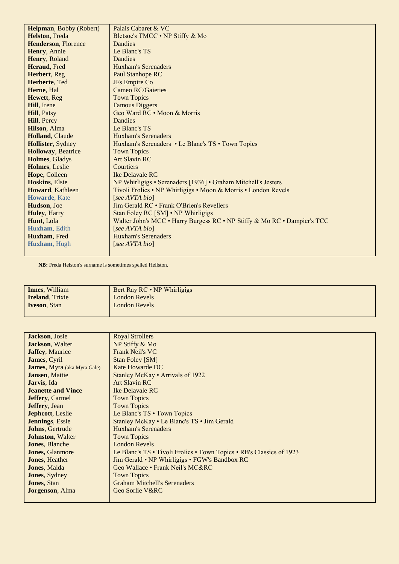| Helpman, Bobby (Robert)    | Palais Cabaret & VC                                                      |
|----------------------------|--------------------------------------------------------------------------|
| Helston, Freda             | Bletsoe's TMCC • NP Stiffy & Mo                                          |
| <b>Henderson, Florence</b> | Dandies                                                                  |
| Henry, Annie               | Le Blanc's TS                                                            |
| Henry, Roland              | Dandies                                                                  |
| Heraud, Fred               | Huxham's Serenaders                                                      |
| Herbert, Reg               | Paul Stanhope RC                                                         |
| Herberte, Ted              | JFs Empire Co                                                            |
| Herne, Hal                 | <b>Cameo RC/Gaieties</b>                                                 |
| Hewett, Reg                | <b>Town Topics</b>                                                       |
| Hill, Irene                | <b>Famous Diggers</b>                                                    |
| <b>Hill, Patsy</b>         | Geo Ward RC • Moon & Morris                                              |
| Hill, Percy                | Dandies                                                                  |
| Hilson, Alma               | Le Blanc's TS                                                            |
| Holland, Claude            | <b>Huxham's Serenaders</b>                                               |
| Hollister, Sydney          | Huxham's Serenaders • Le Blanc's TS • Town Topics                        |
| <b>Holloway</b> , Beatrice | <b>Town Topics</b>                                                       |
| Holmes, Gladys             | <b>Art Slavin RC</b>                                                     |
| Holmes, Leslie             | Courtiers                                                                |
| Hope, Colleen              | Ike Delavale RC                                                          |
| Hoskins, Elsie             | NP Whirligigs • Serenaders [1936] • Graham Mitchell's Jesters            |
| Howard, Kathleen           | Tivoli Frolics • NP Whirligigs • Moon & Morris • London Revels           |
| Howarde, Kate              | [see AVTA bio]                                                           |
| Hudson, Joe                | Jim Gerald RC • Frank O'Brien's Revellers                                |
| Huley, Harry               | Stan Foley RC [SM] • NP Whirligigs                                       |
| Hunt, Lola                 | Walter John's MCC • Harry Burgess RC • NP Stiffy & Mo RC • Dampier's TCC |
| Huxham, Edith              | [see AVTA bio]                                                           |
| Huxham, Fred               | Huxham's Serenaders                                                      |
| Huxham, Hugh               | [see AVTA bio]                                                           |
|                            |                                                                          |

 **NB:** Freda Helston's surname is sometimes spelled Hellston.

| <b>Innes</b> , William | Bert Ray RC • NP Whirligigs |
|------------------------|-----------------------------|
| <b>Ireland, Trixie</b> | London Revels               |
| <b>Iveson, Stan</b>    | <b>London Revels</b>        |
|                        |                             |

| Jackson, Josie                      | <b>Royal Strollers</b>                                               |
|-------------------------------------|----------------------------------------------------------------------|
| <b>Jackson</b> , Walter             | NP Stiffy & Mo                                                       |
| <b>Jaffey, Maurice</b>              | <b>Frank Neil's VC</b>                                               |
| <b>James</b> , Cyril                | <b>Stan Foley [SM]</b>                                               |
| <b>James</b> , Myra (aka Myra Gale) | Kate Howarde DC                                                      |
| <b>Jansen, Mattie</b>               | Stanley McKay · Arrivals of 1922                                     |
| <b>Jarvis</b> , Ida                 | <b>Art Slavin RC</b>                                                 |
| <b>Jeanette and Vince</b>           | Ike Delavale RC                                                      |
| <b>Jeffery, Carmel</b>              | <b>Town Topics</b>                                                   |
| <b>Jeffery</b> , Jean               | <b>Town Topics</b>                                                   |
| Jephcott, Leslie                    | Le Blanc's TS • Town Topics                                          |
| <b>Jennings</b> , Essie             | Stanley McKay • Le Blanc's TS • Jim Gerald                           |
| <b>Johns, Gertrude</b>              | <b>Huxham's Serenaders</b>                                           |
| <b>Johnston</b> , Walter            | <b>Town Topics</b>                                                   |
| <b>Jones</b> , Blanche              | <b>London Revels</b>                                                 |
| <b>Jones</b> , Glanmore             | Le Blanc's TS • Tivoli Frolics • Town Topics • RB's Classics of 1923 |
| <b>Jones</b> , Heather              | Jim Gerald • NP Whirligigs • FGW's Bandbox RC                        |
| <b>Jones</b> , Maida                | Geo Wallace • Frank Neil's MC&RC                                     |
| <b>Jones</b> , Sydney               | <b>Town Topics</b>                                                   |
| <b>Jones</b> , Stan                 | <b>Graham Mitchell's Serenaders</b>                                  |
| <b>Jorgenson</b> , Alma             | Geo Sorlie V&RC                                                      |
|                                     |                                                                      |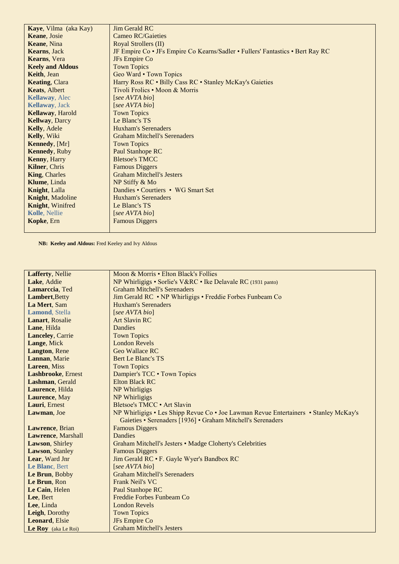| Kaye, Vilma (aka Kay)   | Jim Gerald RC                                                                  |
|-------------------------|--------------------------------------------------------------------------------|
| Keane, Josie            | <b>Cameo RC/Gaieties</b>                                                       |
| Keane, Nina             | Royal Strollers (II)                                                           |
| <b>Kearns</b> , Jack    | JF Empire Co • JFs Empire Co Kearns/Sadler • Fullers' Fantastics • Bert Ray RC |
| Kearns, Vera            | JFs Empire Co                                                                  |
| <b>Keely and Aldous</b> | <b>Town Topics</b>                                                             |
| <b>Keith</b> , Jean     | Geo Ward • Town Topics                                                         |
| <b>Keating, Clara</b>   | Harry Ross RC . Billy Cass RC . Stanley McKay's Gaieties                       |
| Keats, Albert           | Tivoli Frolics • Moon & Morris                                                 |
| <b>Kellaway</b> , Alec  | [see AVTA bio]                                                                 |
| <b>Kellaway</b> , Jack  | [see AVTA bio]                                                                 |
| Kellaway, Harold        | <b>Town Topics</b>                                                             |
| <b>Kellway</b> , Darcy  | Le Blanc's TS                                                                  |
| Kelly, Adele            | Huxham's Serenaders                                                            |
| Kelly, Wiki             | <b>Graham Mitchell's Serenaders</b>                                            |
| Kennedy, [Mr]           | <b>Town Topics</b>                                                             |
| <b>Kennedy</b> , Ruby   | Paul Stanhope RC                                                               |
| <b>Kenny</b> , Harry    | <b>Bletsoe's TMCC</b>                                                          |
| Kilner, Chris           | <b>Famous Diggers</b>                                                          |
| <b>King, Charles</b>    | <b>Graham Mitchell's Jesters</b>                                               |
| Klume, Linda            | NP Stiffy & Mo                                                                 |
| <b>Knight</b> , Lalla   | Dandies • Courtiers • WG Smart Set                                             |
| Knight, Madoline        | <b>Huxham's Serenaders</b>                                                     |
| Knight, Winifred        | Le Blanc's TS                                                                  |
| Kolle, Nellie           | [see AVTA bio]                                                                 |
| Kopke, Ern              | <b>Famous Diggers</b>                                                          |
|                         |                                                                                |

 **NB: Keeley and Aldous:** Fred Keeley and Ivy Aldous

| Lafferty, Nellie           | Moon & Morris • Elton Black's Follies                                                |
|----------------------------|--------------------------------------------------------------------------------------|
| Lake, Addie                | NP Whirligigs • Sorlie's V&RC • Ike Delavale RC (1931 panto)                         |
| Lamarccia, Ted             | <b>Graham Mitchell's Serenaders</b>                                                  |
| <b>Lambert, Betty</b>      | Jim Gerald RC • NP Whirligigs • Freddie Forbes Funbeam Co                            |
| La Mert, Sam               | <b>Huxham's Serenaders</b>                                                           |
| Lamond, Stella             | [see AVTA bio]                                                                       |
| Lanart, Rosalie            | <b>Art Slavin RC</b>                                                                 |
| Lane, Hilda                | <b>Dandies</b>                                                                       |
| <b>Lanceley</b> , Carrie   | <b>Town Topics</b>                                                                   |
|                            | <b>London Revels</b>                                                                 |
| Lange, Mick                | <b>Geo Wallace RC</b>                                                                |
| Langton, Rene              |                                                                                      |
| Lannan, Marie              | Bert Le Blanc's TS                                                                   |
| Lareen, Miss               | <b>Town Topics</b>                                                                   |
| <b>Lashbrooke</b> , Ernest | Dampier's TCC . Town Topics                                                          |
| Lashman, Gerald            | Elton Black RC                                                                       |
| Laurence, Hilda            | NP Whirligigs                                                                        |
| Laurence, May              | NP Whirligigs                                                                        |
| Lauri, Ernest              | Bletsoe's TMCC • Art Slavin                                                          |
| Lawman, Joe                | NP Whirligigs • Les Shipp Revue Co • Joe Lawman Revue Entertainers • Stanley McKay's |
|                            | Gaieties • Serenaders [1936] • Graham Mitchell's Serenaders                          |
| Lawrence, Brian            | <b>Famous Diggers</b>                                                                |
| <b>Lawrence</b> , Marshall | Dandies                                                                              |
| Lawson, Shirley            | Graham Mitchell's Jesters • Madge Cloherty's Celebrities                             |
| Lawson, Stanley            | <b>Famous Diggers</b>                                                                |
| Lear, Ward Jnr             | Jim Gerald RC • F. Gayle Wyer's Bandbox RC                                           |
| Le Blanc, Bert             | [see AVTA bio]                                                                       |
| Le Brun, Bobby             | <b>Graham Mitchell's Serenaders</b>                                                  |
| Le Brun, Ron               | Frank Neil's VC                                                                      |
| Le Cain, Helen             | Paul Stanhope RC                                                                     |
| Lee, Bert                  | Freddie Forbes Funbeam Co                                                            |
| Lee, Linda                 | <b>London Revels</b>                                                                 |
| Leigh, Dorothy             | <b>Town Topics</b>                                                                   |
| Leonard, Elsie             | JFs Empire Co                                                                        |
| Le Roy (aka Le Roi)        | <b>Graham Mitchell's Jesters</b>                                                     |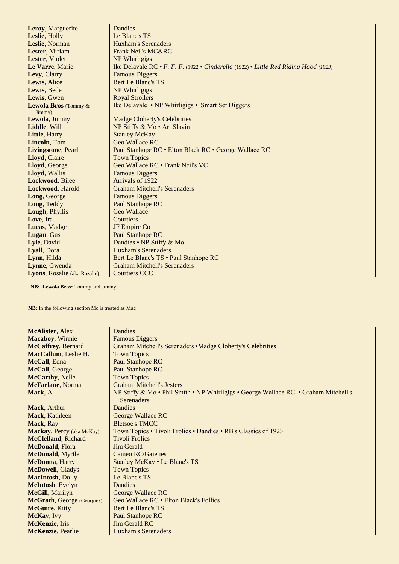| Leroy, Marguerite            | Dandies                                                                              |
|------------------------------|--------------------------------------------------------------------------------------|
| Leslie, Holly                | Le Blanc's TS                                                                        |
| Leslie, Norman               | <b>Huxham's Serenaders</b>                                                           |
| Lester, Miriam               | <b>Frank Neil's MC&amp;RC</b>                                                        |
| Lester, Violet               | NP Whirligigs                                                                        |
| Le Varre, Marie              | Ike Delavale RC • F. F. F. (1922 • Cinderella (1922) • Little Red Riding Hood (1923) |
| Levy, Clarry                 | <b>Famous Diggers</b>                                                                |
| Lewis, Alice                 | <b>Bert Le Blanc's TS</b>                                                            |
| Lewis, Bede                  | NP Whirligigs                                                                        |
| Lewis, Gwen                  | <b>Royal Strollers</b>                                                               |
| <b>Lewola Bros</b> (Tommy &  | Ike Delavale • NP Whirligigs • Smart Set Diggers                                     |
| Jimmy)                       |                                                                                      |
| Lewola, Jimmy                | <b>Madge Cloherty's Celebrities</b>                                                  |
| Liddle, Will                 | NP Stiffy & Mo · Art Slavin                                                          |
| Little, Harry                | <b>Stanley McKay</b>                                                                 |
| Lincoln, Tom                 | <b>Geo Wallace RC</b>                                                                |
| <b>Livingstone, Pearl</b>    | Paul Stanhope RC • Elton Black RC • George Wallace RC                                |
| Lloyd, Claire                | <b>Town Topics</b>                                                                   |
| Lloyd, George                | Geo Wallace RC . Frank Neil's VC                                                     |
| Lloyd, Wallis                | <b>Famous Diggers</b>                                                                |
| Lockwood, Bilee              | Arrivals of 1922                                                                     |
| Lockwood, Harold             | <b>Graham Mitchell's Serenaders</b>                                                  |
| Long, George                 | <b>Famous Diggers</b>                                                                |
| Long, Teddy                  | <b>Paul Stanhope RC</b>                                                              |
| Lough, Phyllis               | Geo Wallace                                                                          |
| Love, Ira                    | Courtiers                                                                            |
| Lucas, Madge                 | JF Empire Co                                                                         |
| Lugan, Gus                   | <b>Paul Stanhope RC</b>                                                              |
| Lyle, David                  | Dandies • NP Stiffy & Mo                                                             |
| Lyall, Dora                  | <b>Huxham's Serenaders</b>                                                           |
| Lynn, Hilda                  | Bert Le Blanc's TS . Paul Stanhope RC                                                |
| Lynne, Gwenda                | <b>Graham Mitchell's Serenaders</b>                                                  |
| Lyons, Rosalie (aka Rozalie) | <b>Courtiers CCC</b>                                                                 |

 **NB: Lewola Bros:** Tommy and Jimmy

 **NB:** In the following section Mc is treated as Mac

| <b>McAlister, Alex</b>            | Dandies                                                                             |
|-----------------------------------|-------------------------------------------------------------------------------------|
| <b>Macaboy</b> , Winnie           | <b>Famous Diggers</b>                                                               |
| McCaffrey, Bernard                | Graham Mitchell's Serenaders • Madge Cloherty's Celebrities                         |
| MacCallum, Leslie H.              | <b>Town Topics</b>                                                                  |
| McCall, Edna                      | <b>Paul Stanhope RC</b>                                                             |
| McCall, George                    | <b>Paul Stanhope RC</b>                                                             |
| <b>McCarthy, Nelle</b>            | <b>Town Topics</b>                                                                  |
| McFarlane, Norma                  | <b>Graham Mitchell's Jesters</b>                                                    |
| Mack, Al                          | NP Stiffy & Mo • Phil Smith • NP Whirligigs • George Wallace RC • Graham Mitchell's |
|                                   | <b>Serenaders</b>                                                                   |
| <b>Mack</b> , Arthur              | Dandies                                                                             |
| Mack, Kathleen                    | George Wallace RC                                                                   |
| Mack, Ray                         | <b>Bletsoe's TMCC</b>                                                               |
| <b>Mackay, Percy</b> (aka McKay)  | Town Topics • Tivoli Frolics • Dandies • RB's Classics of 1923                      |
| McClelland, Richard               | <b>Tivoli Frolics</b>                                                               |
| McDonald, Flora                   | Jim Gerald                                                                          |
| <b>McDonald</b> , Myrtle          | <b>Cameo RC/Gaieties</b>                                                            |
| McDonna, Harry                    | Stanley McKay • Le Blanc's TS                                                       |
| <b>McDowell</b> , Gladys          | <b>Town Topics</b>                                                                  |
| <b>MacIntosh</b> , Dolly          | Le Blanc's TS                                                                       |
| McIntosh, Evelyn                  | Dandies                                                                             |
| McGill, Marilyn                   | George Wallace RC                                                                   |
| <b>McGrath, George (Georgie?)</b> | Geo Wallace RC • Elton Black's Follies                                              |
| McGuire, Kitty                    | Bert Le Blanc's TS                                                                  |
| McKay, Ivy                        | <b>Paul Stanhope RC</b>                                                             |
| McKenzie, Iris                    | Jim Gerald RC                                                                       |
| <b>McKenzie</b> , Pearlie         | Huxham's Serenaders                                                                 |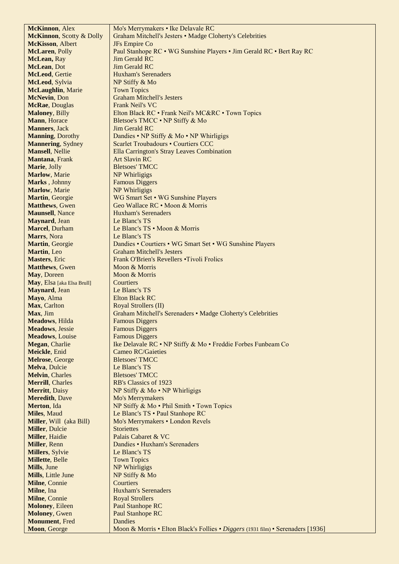| <b>McKinnon</b> , Alex           | Mo's Merrymakers • Ike Delavale RC                                              |
|----------------------------------|---------------------------------------------------------------------------------|
| <b>McKinnon</b> , Scotty & Dolly | Graham Mitchell's Jesters • Madge Cloherty's Celebrities                        |
| <b>McKisson</b> , Albert         | JFs Empire Co                                                                   |
| McLaren, Polly                   | Paul Stanhope RC • WG Sunshine Players • Jim Gerald RC • Bert Ray RC            |
| McLean, Ray                      | Jim Gerald RC                                                                   |
| McLean, Dot                      | Jim Gerald RC                                                                   |
| McLeod, Gertie                   | <b>Huxham's Serenaders</b>                                                      |
| McLeod, Sylvia                   | NP Stiffy & Mo                                                                  |
| <b>McLaughlin, Marie</b>         | <b>Town Topics</b>                                                              |
| McNevin, Don                     | <b>Graham Mitchell's Jesters</b>                                                |
| McRae, Douglas                   | Frank Neil's VC                                                                 |
| <b>Maloney</b> , Billy           | Elton Black RC • Frank Neil's MC&RC • Town Topics                               |
| Mann, Horace                     | Bletsoe's TMCC • NP Stiffy & Mo                                                 |
| <b>Manners</b> , Jack            | <b>Jim Gerald RC</b>                                                            |
| <b>Manning, Dorothy</b>          | Dandies • NP Stiffy & Mo • NP Whirligigs                                        |
| Mannering, Sydney                | Scarlet Troubadours • Courtiers CCC                                             |
| <b>Mansell</b> , Nellie          | Ella Carrington's Stray Leaves Combination                                      |
| Mantana, Frank                   | <b>Art Slavin RC</b>                                                            |
| Marie, Jolly                     | <b>Bletsoes' TMCC</b>                                                           |
| <b>Marlow</b> , Marie            | NP Whirligigs                                                                   |
| Marks, Johnny                    | <b>Famous Diggers</b>                                                           |
| Marlow, Marie                    | NP Whirligigs                                                                   |
| Martin, Georgie                  | WG Smart Set • WG Sunshine Players                                              |
| <b>Matthews</b> , Gwen           | Geo Wallace RC • Moon & Morris                                                  |
| <b>Maunsell</b> , Nance          | <b>Huxham's Serenaders</b>                                                      |
| Maynard, Jean                    | Le Blanc's TS                                                                   |
| Marcel, Durham                   | Le Blanc's TS • Moon & Morris                                                   |
| Marrs, Nora                      | Le Blanc's TS                                                                   |
| Martin, Georgie                  | Dandies • Courtiers • WG Smart Set • WG Sunshine Players                        |
| Martin, Leo                      | <b>Graham Mitchell's Jesters</b>                                                |
| <b>Masters</b> , Eric            | Frank O'Brien's Revellers . Tivoli Frolics                                      |
| <b>Matthews</b> , Gwen           | Moon & Morris                                                                   |
| May, Doreen                      | Moon & Morris                                                                   |
| May, Elsa [aka Elsa Brull]       | Courtiers                                                                       |
| Maynard, Jean                    | Le Blanc's TS                                                                   |
| Mayo, Alma                       | Elton Black RC                                                                  |
| Max, Carlton                     | Royal Strollers (II)                                                            |
| Max, Jim                         | Graham Mitchell's Serenaders • Madge Cloherty's Celebrities                     |
| <b>Meadows</b> , Hilda           | <b>Famous Diggers</b>                                                           |
| <b>Meadows</b> , Jessie          | <b>Famous Diggers</b>                                                           |
| <b>Meadows</b> , Louise          | <b>Famous Diggers</b>                                                           |
| Megan, Charlie                   | Ike Delavale RC • NP Stiffy & Mo • Freddie Forbes Funbeam Co                    |
| Meickle, Enid                    | <b>Cameo RC/Gaieties</b>                                                        |
| Melrose, George                  | <b>Bletsoes' TMCC</b>                                                           |
| Melva, Dulcie                    | Le Blanc's TS                                                                   |
| <b>Melvin, Charles</b>           | <b>Bletsoes' TMCC</b>                                                           |
| <b>Merrill</b> , Charles         | RB's Classics of 1923                                                           |
| Merritt, Daisy                   | NP Stiffy $& Mo \cdot NP$ Whirligigs                                            |
| <b>Meredith, Dave</b>            | Mo's Merrymakers                                                                |
| Merton, Ida                      | NP Stiffy & Mo . Phil Smith . Town Topics                                       |
| Miles, Maud                      | Le Blanc's TS • Paul Stanhope RC                                                |
| Miller, Will (aka Bill)          | Mo's Merrymakers • London Revels                                                |
| <b>Miller, Dulcie</b>            | <b>Storiettes</b>                                                               |
| Miller, Haidie                   | Palais Cabaret & VC                                                             |
| Miller, Renn                     | Dandies • Huxham's Serenaders                                                   |
| <b>Millers</b> , Sylvie          | Le Blanc's TS                                                                   |
| Millette, Belle                  | <b>Town Topics</b>                                                              |
| Mills, June                      | NP Whirligigs                                                                   |
| Mills, Little June               | NP Stiffy & Mo                                                                  |
| Milne, Connie                    | Courtiers                                                                       |
| Milne, Ina                       | <b>Huxham's Serenaders</b>                                                      |
| Milne, Connie                    | <b>Royal Strollers</b>                                                          |
| <b>Moloney</b> , Eileen          | Paul Stanhope RC                                                                |
| <b>Moloney</b> , Gwen            | Paul Stanhope RC                                                                |
| <b>Monument</b> , Fred           | <b>Dandies</b>                                                                  |
| Moon, George                     | Moon & Morris • Elton Black's Follies • Diggers (1931 film) • Serenaders [1936] |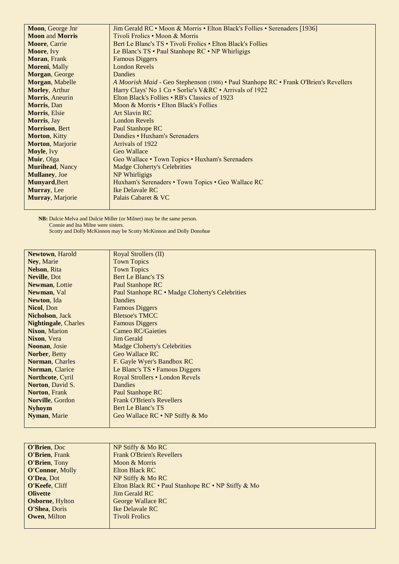| Moon, George Jnr        | Jim Gerald RC • Moon & Morris • Elton Black's Follies • Serenaders [1936]             |
|-------------------------|---------------------------------------------------------------------------------------|
| <b>Moon and Morris</b>  | Tivoli Frolics • Moon & Morris                                                        |
| <b>Moore, Carrie</b>    | Bert Le Blanc's TS • Tivoli Frolics • Elton Black's Follies                           |
| Moore, Ivy              | Le Blanc's TS • Paul Stanhope RC • NP Whirligigs                                      |
| Moran, Frank            | <b>Famous Diggers</b>                                                                 |
| Moreni, Mally           | <b>London Revels</b>                                                                  |
| Morgan, George          | Dandies                                                                               |
| Morgan, Mabelle         | A Moorish Maid - Geo Stephenson (1906) • Paul Stanhope RC • Frank O'Brien's Revellers |
| Morley, Arthur          | Harry Clays' No 1 Co · Sorlie's V&RC · Arrivals of 1922                               |
| Morris, Aneurin         | Elton Black's Follies • RB's Classics of 1923                                         |
| Morris, Dan             | Moon & Morris • Elton Black's Follies                                                 |
| Morris, Elsie           | <b>Art Slavin RC</b>                                                                  |
| Morris, Jay             | <b>London Revels</b>                                                                  |
| <b>Morrison</b> , Bert  | Paul Stanhope RC                                                                      |
| Morton, Kitty           | Dandies • Huxham's Serenaders                                                         |
| <b>Morton, Marjorie</b> | Arrivals of 1922                                                                      |
| Moyle, Ivy              | Geo Wallace                                                                           |
| Muir, Olga              | Geo Wallace • Town Topics • Huxham's Serenaders                                       |
| <b>Murihead, Nancy</b>  | <b>Madge Cloherty's Celebrities</b>                                                   |
| <b>Mullaney</b> , Joe   | NP Whirligigs                                                                         |
| <b>Munyard, Bert</b>    | Huxham's Serenaders • Town Topics • Geo Wallace RC                                    |
| Murray, Lee             | Ike Delavale RC                                                                       |
| Murray, Marjorie        | Palais Cabaret & VC                                                                   |
|                         |                                                                                       |

**NB:** Dulcie Melva and Dulcie Miller (or Milner) may be the same person. **Connie and Ina Milne were sisters.** 

Scotty and Dolly McKinnon may be Scotty McKinnon and Dolly Donohue

| <b>Newtown, Harold</b>      | Royal Strollers (II)                            |
|-----------------------------|-------------------------------------------------|
| Ney, Marie                  | <b>Town Topics</b>                              |
| <b>Nelson, Rita</b>         | <b>Town Topics</b>                              |
| Neville, Dot                | Bert Le Blanc's TS                              |
| <b>Newman, Lottie</b>       | Paul Stanhope RC                                |
| Newman, Val                 | Paul Stanhope RC • Madge Cloherty's Celebrities |
| Newton, Ida                 | <b>Dandies</b>                                  |
| <b>Nicol, Don</b>           | <b>Famous Diggers</b>                           |
| <b>Nicholson</b> , Jack     | <b>Bletsoe's TMCC</b>                           |
| <b>Nightingale, Charles</b> | <b>Famous Diggers</b>                           |
| <b>Nixon, Marion</b>        | <b>Cameo RC/Gaieties</b>                        |
| Nixon, Vera                 | Jim Gerald                                      |
| Noonan, Josie               | <b>Madge Cloherty's Celebrities</b>             |
| Norber, Betty               | Geo Wallace RC                                  |
| Norman, Charles             | F. Gayle Wyer's Bandbox RC                      |
| Norman, Clarice             | Le Blanc's TS • Famous Diggers                  |
| Northcote, Cyril            | Royal Strollers • London Revels                 |
| <b>Norton, David S.</b>     | <b>Dandies</b>                                  |
| <b>Norton, Frank</b>        | Paul Stanhope RC                                |
| Norville, Gordon            | <b>Frank O'Brien's Revellers</b>                |
| <b>Nyhoym</b>               | <b>Bert Le Blanc's TS</b>                       |
| Nyman, Marie                | Geo Wallace RC • NP Stiffy & Mo                 |
|                             |                                                 |

| <b>O'Brien</b> , Doc    | NP Stiffy & Mo RC                                  |
|-------------------------|----------------------------------------------------|
| <b>O'Brien, Frank</b>   | <b>Frank O'Brien's Revellers</b>                   |
| O'Brien, Tony           | Moon & Morris                                      |
| <b>O'Connor, Molly</b>  | Elton Black RC                                     |
| <b>O'Dea, Dot</b>       | NP Stiffy & Mo RC                                  |
| O'Keefe, Cliff          | Elton Black RC • Paul Stanhope RC • NP Stiffy & Mo |
| <b>Olivette</b>         | <b>Jim Gerald RC</b>                               |
| <b>Osborne</b> , Hylton | George Wallace RC                                  |
| <b>O'Shea, Doris</b>    | Ike Delavale RC                                    |
| <b>Owen, Milton</b>     | <b>Tivoli Frolics</b>                              |
|                         |                                                    |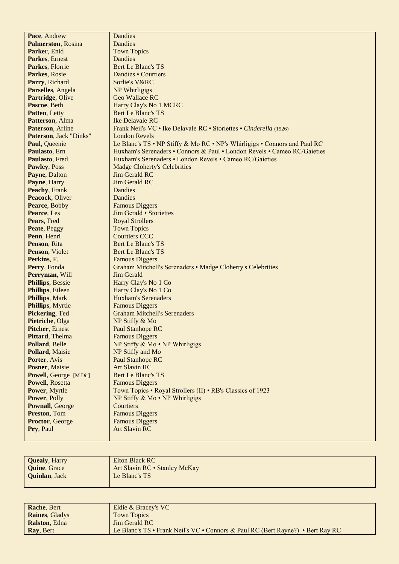| Pace, Andrew                                     | Dandies                                                                          |
|--------------------------------------------------|----------------------------------------------------------------------------------|
| <b>Palmerston, Rosina</b>                        | Dandies                                                                          |
| Parker, Enid                                     | <b>Town Topics</b>                                                               |
| Parkes, Ernest                                   | Dandies                                                                          |
| Parkes, Florrie                                  | <b>Bert Le Blanc's TS</b>                                                        |
| Parkes, Rosie                                    | Dandies • Courtiers                                                              |
| Parry, Richard                                   | Sorlie's V&RC                                                                    |
| Parselles, Angela                                | NP Whirligigs                                                                    |
| Partridge, Olive                                 | <b>Geo Wallace RC</b>                                                            |
| Pascoe, Beth                                     | Harry Clay's No 1 MCRC                                                           |
| Patten, Letty                                    | Bert Le Blanc's TS                                                               |
| Patterson, Alma                                  | Ike Delavale RC                                                                  |
| Paterson, Arline                                 | Frank Neil's VC • Ike Delavale RC • Storiettes • Cinderella (1926)               |
| Paterson, Jack "Dinks"                           | <b>London Revels</b>                                                             |
| Paul, Queenie                                    | Le Blanc's TS • NP Stiffy & Mo RC • NP's Whirligigs • Connors and Paul RC        |
| Paulasto, Ern                                    | Huxham's Serenaders • Connors & Paul • London Revels • Cameo RC/Gaieties         |
| Paulasto, Fred                                   | Huxham's Serenaders • London Revels • Cameo RC/Gaieties                          |
| Pawley, Poss                                     | <b>Madge Cloherty's Celebrities</b>                                              |
| Payne, Dalton                                    | Jim Gerald RC                                                                    |
| Payne, Harry                                     | Jim Gerald RC                                                                    |
| Peachy, Frank                                    | <b>Dandies</b>                                                                   |
| Peacock, Oliver                                  | Dandies                                                                          |
| Pearce, Bobby                                    | <b>Famous Diggers</b>                                                            |
| Pearce, Les                                      | Jim Gerald • Storiettes                                                          |
| Pears, Fred                                      | <b>Royal Strollers</b>                                                           |
| Peate, Peggy                                     | <b>Town Topics</b>                                                               |
| Penn, Henri                                      | <b>Courtiers CCC</b>                                                             |
| Penson, Rita                                     | <b>Bert Le Blanc's TS</b>                                                        |
| Penson, Violet                                   | Bert Le Blanc's TS                                                               |
| Perkins, F.                                      |                                                                                  |
|                                                  | <b>Famous Diggers</b>                                                            |
| Perry, Fonda<br>Perryman, Will                   | Graham Mitchell's Serenaders • Madge Cloherty's Celebrities<br><b>Jim Gerald</b> |
|                                                  |                                                                                  |
| <b>Phillips</b> , Bessie                         | Harry Clay's No 1 Co                                                             |
| Phillips, Eileen                                 | Harry Clay's No 1 Co<br><b>Huxham's Serenaders</b>                               |
| <b>Phillips, Mark</b><br><b>Phillips, Myrtle</b> | <b>Famous Diggers</b>                                                            |
| Pickering, Ted                                   | <b>Graham Mitchell's Serenaders</b>                                              |
| Pietriche, Olga                                  | NP Stiffy & Mo                                                                   |
|                                                  |                                                                                  |
| <b>Pitcher, Ernest</b><br>Pittard, Thelma        | Paul Stanhope RC<br><b>Famous Diggers</b>                                        |
|                                                  | NP Stiffy $& Mo \cdot NP$ Whirligigs                                             |
| Pollard, Belle<br>Pollard, Maisie                | NP Stiffy and Mo                                                                 |
| Porter, Avis                                     | Paul Stanhope RC                                                                 |
| Posner, Maisie                                   | <b>Art Slavin RC</b>                                                             |
| Powell, George [M Dir]                           | <b>Bert Le Blanc's TS</b>                                                        |
| <b>Powell</b> , Rosetta                          | <b>Famous Diggers</b>                                                            |
| Power, Myrtle                                    | Town Topics • Royal Strollers (II) • RB's Classics of 1923                       |
| Power, Polly                                     | NP Stiffy $& Mo \cdot NP$ Whirligigs                                             |
| <b>Pownall</b> , George                          | Courtiers                                                                        |
| Preston, Tom                                     | <b>Famous Diggers</b>                                                            |
| Proctor, George                                  | <b>Famous Diggers</b>                                                            |
| Pry, Paul                                        | <b>Art Slavin RC</b>                                                             |
|                                                  |                                                                                  |
|                                                  |                                                                                  |

| <b>Quealy, Harry</b>  | Elton Black RC                |
|-----------------------|-------------------------------|
| <b>Ouine, Grace</b>   | Art Slavin RC · Stanley McKay |
| <b>Ouinlan</b> , Jack | Le Blanc's TS                 |
|                       |                               |

| <b>Rache, Bert</b>    | Eldie & Bracey's VC                                                             |
|-----------------------|---------------------------------------------------------------------------------|
| <b>Raines, Gladys</b> | <b>Town Topics</b>                                                              |
| <b>Ralston, Edna</b>  | <b>Jim Gerald RC</b>                                                            |
| Ray, Bert             | Le Blanc's TS • Frank Neil's VC • Connors & Paul RC (Bert Rayne?) • Bert Ray RC |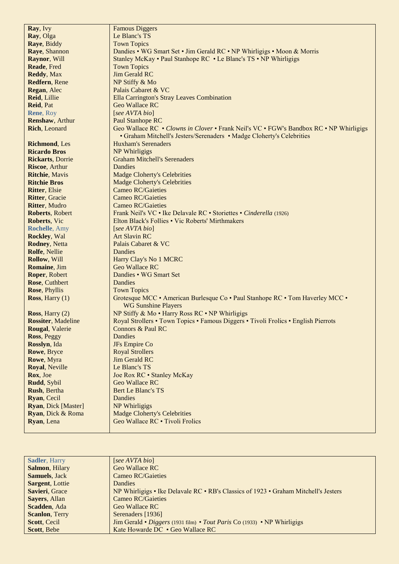| Ray, Ivy                    | <b>Famous Diggers</b>                                                                  |
|-----------------------------|----------------------------------------------------------------------------------------|
| Ray, Olga                   | Le Blanc's TS                                                                          |
| Raye, Biddy                 | <b>Town Topics</b>                                                                     |
| Raye, Shannon               | Dandies • WG Smart Set • Jim Gerald RC • NP Whirligigs • Moon & Morris                 |
| Raynor, Will                | Stanley McKay • Paul Stanhope RC • Le Blanc's TS • NP Whirligigs                       |
| Reade, Fred                 | <b>Town Topics</b>                                                                     |
| Reddy, Max                  | <b>Jim Gerald RC</b>                                                                   |
| Redfern, Rene               | NP Stiffy & Mo                                                                         |
| Regan, Alec                 | Palais Cabaret & VC                                                                    |
| Reid, Lillie                | Ella Carrington's Stray Leaves Combination                                             |
| Reid, Pat                   | Geo Wallace RC                                                                         |
| Rene, Roy                   | [see AVTA bio]                                                                         |
| Renshaw, Arthur             | Paul Stanhope RC                                                                       |
| <b>Rich</b> , Leonard       | Geo Wallace RC • Clowns in Clover • Frank Neil's VC • FGW's Bandbox RC • NP Whirligigs |
|                             | • Graham Mitchell's Jesters/Serenaders • Madge Cloherty's Celebrities                  |
| <b>Richmond</b> , Les       | <b>Huxham's Serenaders</b>                                                             |
| <b>Ricardo Bros</b>         | NP Whirligigs                                                                          |
| <b>Rickarts, Dorrie</b>     | <b>Graham Mitchell's Serenaders</b>                                                    |
| <b>Riscoe, Arthur</b>       | <b>Dandies</b>                                                                         |
| <b>Ritchie</b> , Mavis      | <b>Madge Cloherty's Celebrities</b>                                                    |
| <b>Ritchie Bros</b>         | <b>Madge Cloherty's Celebrities</b>                                                    |
| <b>Ritter, Elsie</b>        | <b>Cameo RC/Gaieties</b>                                                               |
| <b>Ritter, Gracie</b>       | <b>Cameo RC/Gaieties</b>                                                               |
| Ritter, Mudro               | <b>Cameo RC/Gaieties</b>                                                               |
| Roberts, Robert             | Frank Neil's VC • Ike Delavale RC • Storiettes • Cinderella (1926)                     |
| Roberts, Vic                | Elton Black's Follies . Vic Roberts' Mirthmakers                                       |
| <b>Rochelle</b> , Amy       | [see AVTA bio]                                                                         |
| Rockley, Wal                | <b>Art Slavin RC</b>                                                                   |
| <b>Rodney, Netta</b>        | Palais Cabaret & VC                                                                    |
| Rolfe, Nellie               | Dandies                                                                                |
| Rollow, Will                | Harry Clay's No 1 MCRC                                                                 |
| Romaine, Jim                | <b>Geo Wallace RC</b>                                                                  |
| Roper, Robert               | Dandies • WG Smart Set                                                                 |
| Rose, Cuthbert              | Dandies                                                                                |
| Rose, Phyllis               | <b>Town Topics</b>                                                                     |
| Ross, Harry $(1)$           | Grotesque MCC • American Burlesque Co • Paul Stanhope RC • Tom Haverley MCC •          |
|                             | <b>WG Sunshine Players</b>                                                             |
| Ross, Harry $(2)$           | NP Stiffy & Mo · Harry Ross RC · NP Whirligigs                                         |
| <b>Rossiter</b> , Madeline  | Royal Strollers . Town Topics . Famous Diggers . Tivoli Frolics . English Pierrots     |
| <b>Rougal</b> , Valerie     | <b>Connors &amp; Paul RC</b>                                                           |
| Ross, Peggy                 | Dandies                                                                                |
| Rosslyn, Ida                | JFs Empire Co                                                                          |
| Rowe, Bryce                 | <b>Royal Strollers</b>                                                                 |
| Rowe, Myra                  | <b>Jim Gerald RC</b>                                                                   |
| Royal, Neville              | Le Blanc's TS                                                                          |
| Rox, Joe                    | Joe Rox RC • Stanley McKay                                                             |
| Rudd, Sybil                 | Geo Wallace RC                                                                         |
| Rush, Bertha                | Bert Le Blanc's TS                                                                     |
| Ryan, Cecil                 | Dandies                                                                                |
| <b>Ryan</b> , Dick [Master] | NP Whirligigs                                                                          |
| Ryan, Dick & Roma           | <b>Madge Cloherty's Celebrities</b>                                                    |
| Ryan, Lena                  | Geo Wallace RC • Tivoli Frolics                                                        |
|                             |                                                                                        |

| [see AVTA bio]                                                                        |
|---------------------------------------------------------------------------------------|
| <b>Geo Wallace RC</b>                                                                 |
| Cameo RC/Gaieties                                                                     |
| <b>Dandies</b>                                                                        |
| NP Whirligigs • Ike Delavale RC • RB's Classics of $1923$ • Graham Mitchell's Jesters |
| Cameo RC/Gaieties                                                                     |
| Geo Wallace RC                                                                        |
| Serenaders [1936]                                                                     |
| Jim Gerald • Diggers (1931 film) • Tout Paris Co (1933) • NP Whirligigs               |
| Kate Howarde DC • Geo Wallace RC                                                      |
|                                                                                       |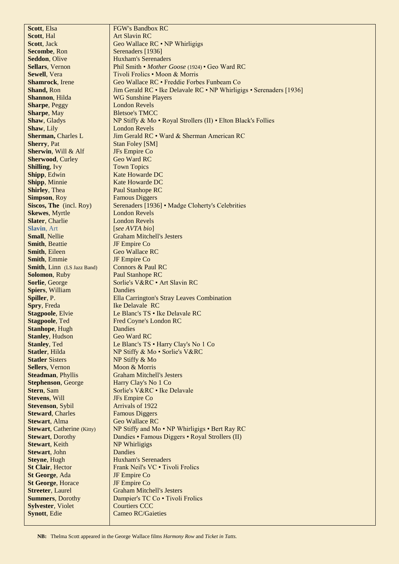| Scott, Elsa                               | <b>FGW's Bandbox RC</b>                                             |
|-------------------------------------------|---------------------------------------------------------------------|
| Scott, Hal                                | <b>Art Slavin RC</b>                                                |
| Scott, Jack                               | Geo Wallace RC • NP Whirligigs                                      |
| Secombe, Ron                              | Serenaders [1936]                                                   |
| Seddon, Olive                             | <b>Huxham's Serenaders</b>                                          |
| <b>Sellars</b> , Vernon                   | Phil Smith • Mother Goose (1924) • Geo Ward RC                      |
| Sewell, Vera                              | Tivoli Frolics • Moon & Morris                                      |
| <b>Shamrock</b> , Irene                   | Geo Wallace RC · Freddie Forbes Funbeam Co                          |
| Shand, Ron                                | Jim Gerald RC • Ike Delavale RC • NP Whirligigs • Serenaders [1936] |
| Shannon, Hilda                            | <b>WG Sunshine Players</b>                                          |
| Sharpe, Peggy                             | <b>London Revels</b>                                                |
| Sharpe, May                               | <b>Bletsoe's TMCC</b>                                               |
| Shaw, Gladys                              | NP Stiffy & Mo • Royal Strollers (II) • Elton Black's Follies       |
| Shaw, Lily                                | <b>London Revels</b>                                                |
| Sherman, Charles L                        | Jim Gerald RC • Ward & Sherman American RC                          |
| <b>Sherry</b> , Pat                       | <b>Stan Foley [SM]</b>                                              |
| Sherwin, Will & Alf                       | JFs Empire Co                                                       |
| <b>Sherwood, Curley</b>                   | Geo Ward RC                                                         |
| <b>Shilling</b> , Ivy                     | <b>Town Topics</b>                                                  |
| Shipp, Edwin                              | Kate Howarde DC                                                     |
| <b>Shipp, Minnie</b>                      | Kate Howarde DC                                                     |
| <b>Shirley</b> , Thea                     | <b>Paul Stanhope RC</b>                                             |
| Simpson, Roy                              | <b>Famous Diggers</b>                                               |
| Siscos, The (incl. Roy)                   | Serenaders [1936] · Madge Cloherty's Celebrities                    |
| <b>Skewes</b> , Myrtle                    | <b>London Revels</b>                                                |
| Slater, Charlie                           | <b>London Revels</b>                                                |
| Slavin, Art                               | [see AVTA bio]                                                      |
| Small, Nellie                             | <b>Graham Mitchell's Jesters</b>                                    |
| <b>Smith, Beattie</b><br>Smith, Eileen    | JF Empire Co<br><b>Geo Wallace RC</b>                               |
| <b>Smith, Emmie</b>                       | JF Empire Co                                                        |
| Smith, Linn (LS Jazz Band)                | <b>Connors &amp; Paul RC</b>                                        |
| Solomon, Ruby                             | Paul Stanhope RC                                                    |
| Sorlie, George                            | Sorlie's V&RC . Art Slavin RC                                       |
| Spiers, William                           | Dandies                                                             |
| Spiller, P.                               | Ella Carrington's Stray Leaves Combination                          |
| Spry, Freda                               | Ike Delavale RC                                                     |
| <b>Stagpoole, Elvie</b>                   | Le Blanc's TS . Ike Delavale RC                                     |
| <b>Stagpoole, Ted</b>                     | Fred Coyne's London RC                                              |
| <b>Stanhope</b> , Hugh                    | <b>Dandies</b>                                                      |
| <b>Stanley, Hudson</b>                    | Geo Ward RC                                                         |
| <b>Stanley, Ted</b>                       | Le Blanc's TS • Harry Clay's No 1 Co                                |
| Statler, Hilda                            | NP Stiffy & Mo · Sorlie's V&RC                                      |
| <b>Statler Sisters</b>                    | NP Stiffy & Mo                                                      |
| Sellers, Vernon                           | Moon & Morris                                                       |
| <b>Steadman, Phyllis</b>                  | <b>Graham Mitchell's Jesters</b>                                    |
| <b>Stephenson, George</b>                 | Harry Clay's No 1 Co                                                |
| Stern, Sam                                | Sorlie's V&RC . Ike Delavale                                        |
| <b>Stevens, Will</b>                      | JFs Empire Co                                                       |
| <b>Stevenson</b> , Sybil                  | Arrivals of 1922                                                    |
| <b>Steward, Charles</b>                   | <b>Famous Diggers</b>                                               |
| Stewart, Alma                             | Geo Wallace RC                                                      |
| <b>Stewart, Catherine (Kitty)</b>         | NP Stiffy and Mo • NP Whirligigs • Bert Ray RC                      |
| <b>Stewart</b> , Dorothy                  | Dandies • Famous Diggers • Royal Strollers (II)                     |
| <b>Stewart</b> , Keith                    | NP Whirligigs                                                       |
| Stewart, John                             | <b>Dandies</b>                                                      |
| <b>Steyne, Hugh</b>                       | <b>Huxham's Serenaders</b>                                          |
| <b>St Clair, Hector</b>                   | Frank Neil's VC · Tivoli Frolics                                    |
| St George, Ada                            | JF Empire Co                                                        |
| <b>St George, Horace</b>                  | JF Empire Co                                                        |
| <b>Streeter, Laurel</b>                   | <b>Graham Mitchell's Jesters</b>                                    |
| <b>Summers</b> , Dorothy                  | Dampier's TC Co · Tivoli Frolics<br><b>Courtiers CCC</b>            |
| <b>Sylvester</b> , Violet<br>Synott, Edie | <b>Cameo RC/Gaieties</b>                                            |
|                                           |                                                                     |
|                                           |                                                                     |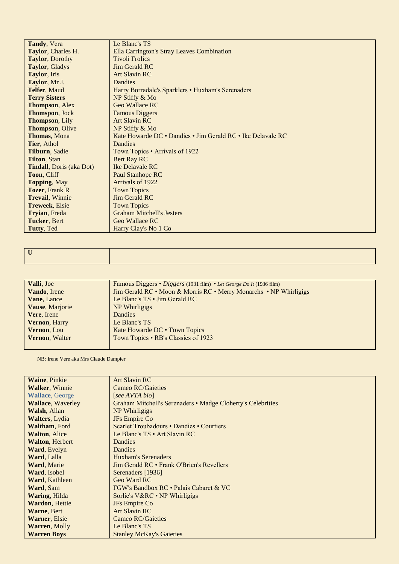| Tandy, Vera                      | Le Blanc's TS                                               |
|----------------------------------|-------------------------------------------------------------|
| Taylor, Charles H.               | Ella Carrington's Stray Leaves Combination                  |
| <b>Taylor, Dorothy</b>           | <b>Tivoli Frolics</b>                                       |
| Taylor, Gladys                   | <b>Jim Gerald RC</b>                                        |
| Taylor, Iris                     | <b>Art Slavin RC</b>                                        |
| Taylor, Mr J.                    | Dandies                                                     |
| Telfer, Maud                     | Harry Borradale's Sparklers • Huxham's Serenaders           |
| <b>Terry Sisters</b>             | NP Stiffy & Mo                                              |
| <b>Thompson, Alex</b>            | Geo Wallace RC                                              |
| Thomspon, Jock                   | <b>Famous Diggers</b>                                       |
| Thompson, Lily                   | <b>Art Slavin RC</b>                                        |
| <b>Thompson, Olive</b>           | NP Stiffy & Mo                                              |
| <b>Thomas, Mona</b>              | Kate Howarde DC • Dandies • Jim Gerald RC • Ike Delavale RC |
| Tier, Athol                      | Dandies                                                     |
| Tilburn, Sadie                   | Town Topics • Arrivals of 1922                              |
| <b>Tilton, Stan</b>              | Bert Ray RC                                                 |
| <b>Tindall</b> , Doris (aka Dot) | Ike Delavale RC                                             |
| Toon, Cliff                      | Paul Stanhope RC                                            |
| <b>Topping, May</b>              | Arrivals of 1922                                            |
| <b>Tozer, Frank R</b>            | <b>Town Topics</b>                                          |
| <b>Trevail</b> , Winnie          | <b>Jim Gerald RC</b>                                        |
| <b>Treweek, Elsie</b>            | <b>Town Topics</b>                                          |
| Tryian, Freda                    | <b>Graham Mitchell's Jesters</b>                            |
| <b>Tucker, Bert</b>              | Geo Wallace RC                                              |
| Tutty, Ted                       | Harry Clay's No 1 Co                                        |

|   | and the contract of the contract of the contract of the contract of the contract of the contract of the contract of |
|---|---------------------------------------------------------------------------------------------------------------------|
| T |                                                                                                                     |
|   |                                                                                                                     |
|   |                                                                                                                     |

| Valli, Joe            | Famous Diggers • Diggers (1931 film) • Let George Do It (1936 film) |
|-----------------------|---------------------------------------------------------------------|
| Vando, Irene          | Jim Gerald RC • Moon & Morris RC • Merry Monarchs • NP Whirligigs   |
| Vane, Lance           | Le Blanc's TS • Jim Gerald RC                                       |
| Vause, Marjorie       | NP Whirligigs                                                       |
| Vere, Irene           | <b>Dandies</b>                                                      |
| Vernon, Harry         | Le Blanc's TS                                                       |
| Vernon, Lou           | Kate Howarde DC . Town Topics                                       |
| <b>Vernon, Walter</b> | Town Topics • RB's Classics of 1923                                 |
|                       |                                                                     |

NB: Irene Vere aka Mrs Claude Dampier

| <b>Waine, Pinkie</b>     | <b>Art Slavin RC</b>                                        |
|--------------------------|-------------------------------------------------------------|
| <b>Walker, Winnie</b>    | <b>Cameo RC/Gaieties</b>                                    |
| <b>Wallace, George</b>   | [see AVTA bio]                                              |
| <b>Wallace, Waverley</b> | Graham Mitchell's Serenaders • Madge Cloherty's Celebrities |
| <b>Walsh, Allan</b>      | NP Whirligigs                                               |
| <b>Walters</b> , Lydia   | <b>JFs</b> Empire Co                                        |
| <b>Waltham, Ford</b>     | Scarlet Troubadours • Dandies • Courtiers                   |
| <b>Walton, Alice</b>     | Le Blanc's $TS \cdot Art$ Slavin RC                         |
| <b>Walton, Herbert</b>   | Dandies                                                     |
| <b>Ward, Evelyn</b>      | Dandies                                                     |
| Ward, Lalla              | Huxham's Serenaders                                         |
| Ward, Marie              | Jim Gerald RC • Frank O'Brien's Revellers                   |
| Ward, Isobel             | Serenaders [1936]                                           |
| <b>Ward, Kathleen</b>    | Geo Ward RC                                                 |
| Ward, Sam                | FGW's Bandbox RC • Palais Cabaret & VC                      |
| <b>Waring, Hilda</b>     | Sorlie's V&RC • NP Whirligigs                               |
| <b>Wardon, Hettie</b>    | <b>JFs</b> Empire Co                                        |
| Warne, Bert              | <b>Art Slavin RC</b>                                        |
| <b>Warner, Elsie</b>     | <b>Cameo RC/Gaieties</b>                                    |
| <b>Warren, Molly</b>     | Le Blanc's TS                                               |
| <b>Warren Boys</b>       | <b>Stanley McKay's Gaieties</b>                             |